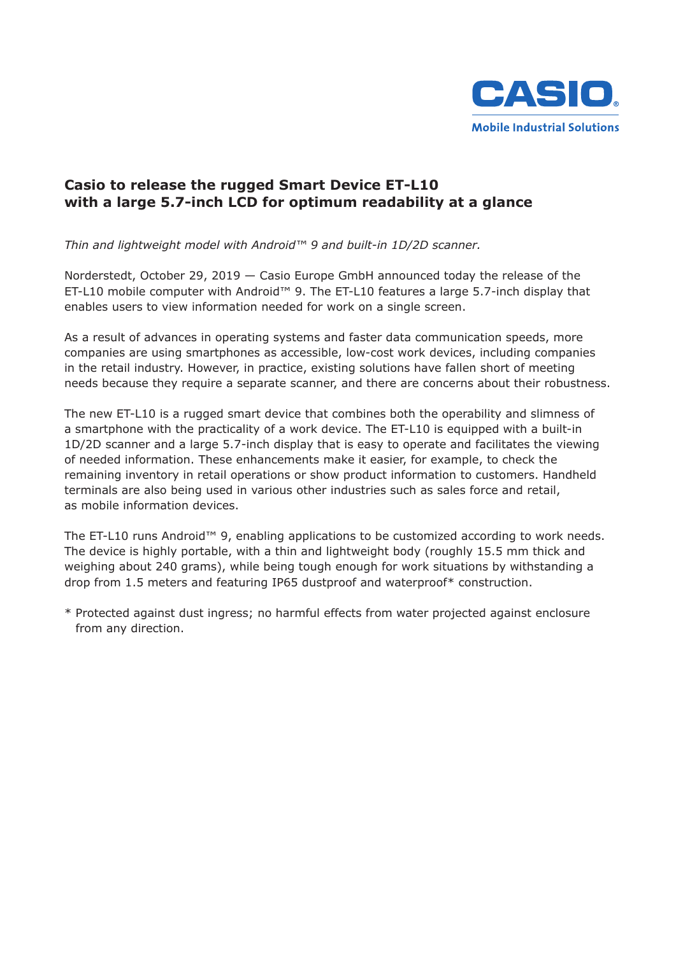

## **Casio to release the rugged Smart Device ET-L10 with a large 5.7-inch LCD for optimum readability at a glance**

*Thin and lightweight model with Android™ 9 and built-in 1D/2D scanner.*

Norderstedt, October 29, 2019 — Casio Europe GmbH announced today the release of the ET-L10 mobile computer with Android™ 9. The ET-L10 features a large 5.7-inch display that enables users to view information needed for work on a single screen.

As a result of advances in operating systems and faster data communication speeds, more companies are using smartphones as accessible, low-cost work devices, including companies in the retail industry. However, in practice, existing solutions have fallen short of meeting needs because they require a separate scanner, and there are concerns about their robustness.

The new ET-L10 is a rugged smart device that combines both the operability and slimness of a smartphone with the practicality of a work device. The ET-L10 is equipped with a built-in 1D/2D scanner and a large 5.7-inch display that is easy to operate and facilitates the viewing of needed information. These enhancements make it easier, for example, to check the remaining inventory in retail operations or show product information to customers. Handheld terminals are also being used in various other industries such as sales force and retail, as mobile information devices.

The ET-L10 runs Android™ 9, enabling applications to be customized according to work needs. The device is highly portable, with a thin and lightweight body (roughly 15.5 mm thick and weighing about 240 grams), while being tough enough for work situations by withstanding a drop from 1.5 meters and featuring IP65 dustproof and waterproof\* construction.

\* Protected against dust ingress; no harmful effects from water projected against enclosure from any direction.